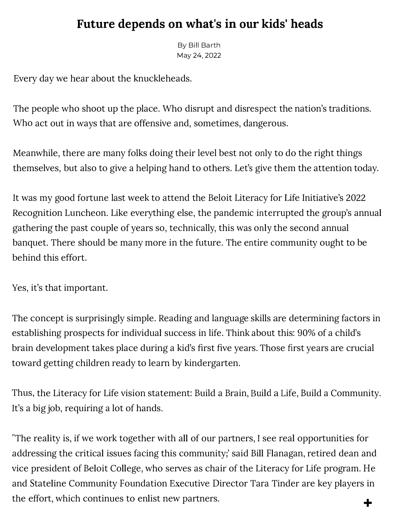## **Future depends on what's in our kids' heads**

By Bill Barth May 24, 2022

Every day we hear about the knuckleheads.

The people who shoot up the place. Who disrupt and disrespect the nation's traditions. Who act out in ways that are offensive and, sometimes, dangerous.

Meanwhile, there are many folks doing their level best not only to do the right things themselves, but also to give a helping hand to others. Let's give them the attention today.

It was my good fortune last week to attend the Beloit Literacy for Life Initiative's 2022 Recognition Luncheon. Like everything else, the pandemic interrupted the group's annual gathering the past couple of years so, technically, this was only the second annual banquet. There should be many more in the future. The entire community ought to be behind this effort.

Yes, it's that important.

The concept is surprisingly simple. Reading and language skills are determining factors in establishing prospects for individual success in life. Think about this: 90% of a child's brain development takes place during a kid's first five years. Those first years are crucial toward getting children ready to learn by kindergarten.

Thus, the Literacy for Life vision statement: Build a Brain, Build a Life, Build a Community. It's a big job, requiring a lot of hands.

"The reality is, if we work together with all of our partners, I see real opportunities for addressing the critical issues facing this community;' said Bill Flanagan, retired dean and vice president of Beloit College, who serves as chair of the Literacy for Life program. He and Stateline Community Foundation Executive Director Tara Tinder are key players in the effort, which continues to enlist new partners. **+**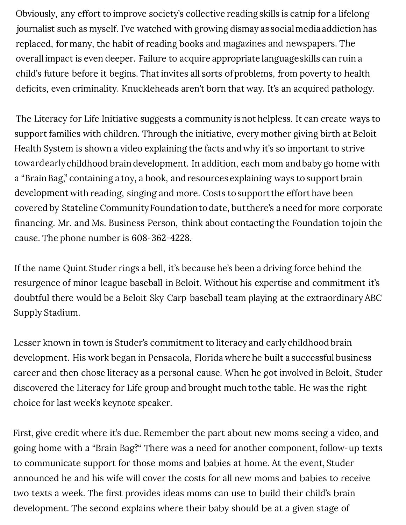Obviously, any effort to improve society's collective reading skills is catnip for a lifelong journalist such as myself. I've watched with growing dismay as social media addiction has replaced, for many, the habit of reading books and magazines and newspapers. The overall impact is even deeper. Failure to acquire appropriate language skills can ruin a child's future before it begins. That invites all sorts of problems, from poverty to health deficits, even criminality. Knuckleheads aren't born that way. It's an acquired pathology.

The Literacy for Life Initiative suggests a community is not helpless. It can create ways to support families with children. Through the initiative, every mother giving birth at Beloit Health System is shown a video explaining the facts and why it's so important to strive toward early childhood brain development. In addition, each mom and baby go home with a "Brain Bag," containing a toy, a book, and resources explaining ways to support brain development with reading, singing and more. Costs to support the effort have been covered by Stateline Community Foundation to date, but there's a need for more corporate financing. Mr. and Ms. Business Person, think about contacting the Foundation to join the cause. The phone number is 608-362-4228.

If the name Quint Studer rings a bell, it's because he's been a driving force behind the resurgence of minor league baseball in Beloit. Without his expertise and commitment it's doubtful there would be a Beloit Sky Carp baseball team playing at the extraordinary ABC Supply Stadium.

Lesser known in town is Studer's commitment to literacy and early childhood brain development. His work began in Pensacola, Florida where he built a successful business career and then chose literacy as a personal cause. When he got involved in Beloit, Studer discovered the Literacy for Life group and brought much to the table. He was the right choice for last week's keynote speaker.

First, give credit where it's due. Remember the part about new moms seeing a video, and going home with a "Brain Bag?" There was a need for another component, follow-up texts to communicate support for those moms and babies at home. At the event, Studer announced he and his wife will cover the costs for all new moms and babies to receive two texts a week. The first provides ideas moms can use to build their child's brain development. The second explains where their baby should be at a given stage of